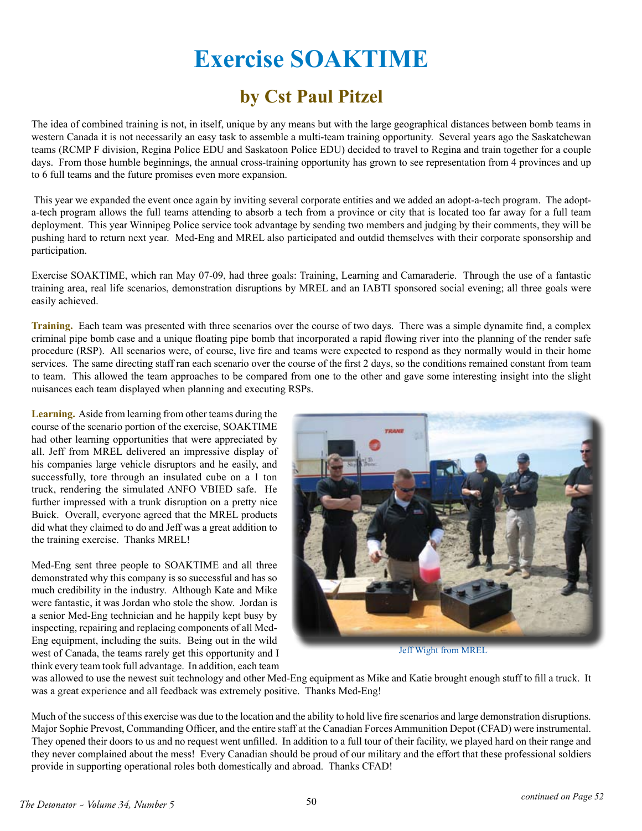## **Exercise SOAKTIME**

## **by Cst Paul Pitzel**

The idea of combined training is not, in itself, unique by any means but with the large geographical distances between bomb teams in western Canada it is not necessarily an easy task to assemble a multi-team training opportunity. Several years ago the Saskatchewan teams (RCMP F division, Regina Police EDU and Saskatoon Police EDU) decided to travel to Regina and train together for a couple days. From those humble beginnings, the annual cross-training opportunity has grown to see representation from 4 provinces and up to 6 full teams and the future promises even more expansion.

 This year we expanded the event once again by inviting several corporate entities and we added an adopt-a-tech program. The adopta-tech program allows the full teams attending to absorb a tech from a province or city that is located too far away for a full team deployment. This year Winnipeg Police service took advantage by sending two members and judging by their comments, they will be pushing hard to return next year. Med-Eng and MREL also participated and outdid themselves with their corporate sponsorship and participation.

Exercise SOAKTIME, which ran May 07-09, had three goals: Training, Learning and Camaraderie. Through the use of a fantastic training area, real life scenarios, demonstration disruptions by MREL and an IABTI sponsored social evening; all three goals were easily achieved.

**Training.** Each team was presented with three scenarios over the course of two days. There was a simple dynamite find, a complex criminal pipe bomb case and a unique floating pipe bomb that incorporated a rapid flowing river into the planning of the render safe procedure (RSP). All scenarios were, of course, live fire and teams were expected to respond as they normally would in their home services. The same directing staff ran each scenario over the course of the first 2 days, so the conditions remained constant from team to team. This allowed the team approaches to be compared from one to the other and gave some interesting insight into the slight nuisances each team displayed when planning and executing RSPs.

**Learning.** Aside from learning from other teams during the course of the scenario portion of the exercise, SOAKTIME had other learning opportunities that were appreciated by all. Jeff from MREL delivered an impressive display of his companies large vehicle disruptors and he easily, and successfully, tore through an insulated cube on a 1 ton truck, rendering the simulated ANFO VBIED safe. He further impressed with a trunk disruption on a pretty nice Buick. Overall, everyone agreed that the MREL products did what they claimed to do and Jeff was a great addition to the training exercise. Thanks MREL!

Med-Eng sent three people to SOAKTIME and all three demonstrated why this company is so successful and has so much credibility in the industry. Although Kate and Mike were fantastic, it was Jordan who stole the show. Jordan is a senior Med-Eng technician and he happily kept busy by inspecting, repairing and replacing components of all Med-Eng equipment, including the suits. Being out in the wild west of Canada, the teams rarely get this opportunity and I think every team took full advantage. In addition, each team



Jeff Wight from MREL

was allowed to use the newest suit technology and other Med-Eng equipment as Mike and Katie brought enough stuff to fill a truck. It was a great experience and all feedback was extremely positive. Thanks Med-Eng!

Much of the success of this exercise was due to the location and the ability to hold live fire scenarios and large demonstration disruptions. Major Sophie Prevost, Commanding Officer, and the entire staff at the Canadian Forces Ammunition Depot (CFAD) were instrumental. They opened their doors to us and no request went unfilled. In addition to a full tour of their facility, we played hard on their range and they never complained about the mess! Every Canadian should be proud of our military and the effort that these professional soldiers provide in supporting operational roles both domestically and abroad. Thanks CFAD!